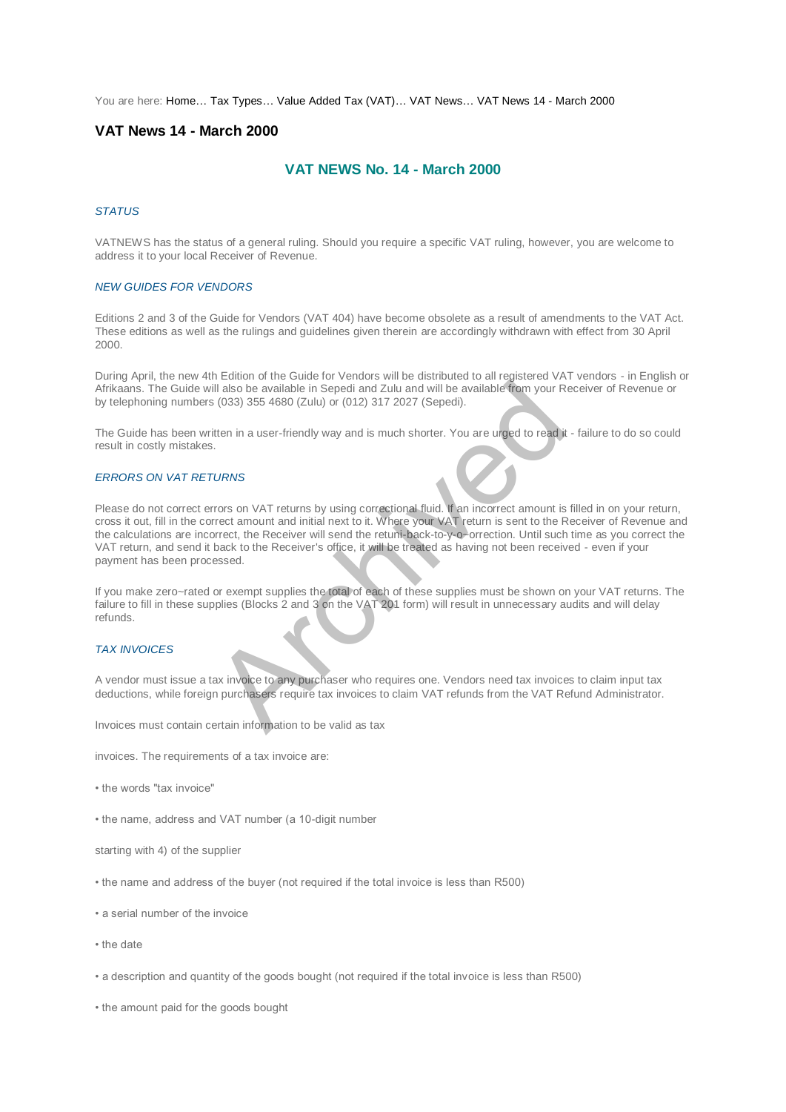You are here: [Home…](http://196.38.114.171/home.asp?pid=1) [Tax Types…](http://196.38.114.171/home.asp?pid=161) [Value Added Tax \(VAT\)…](http://196.38.114.171/home.asp?pid=194) [VAT News…](http://196.38.114.171/home.asp?pid=4722) [VAT News 14 - March 2000](http://196.38.114.171/home.asp?pid=47321) 

# **VAT News 14 - March 2000**

# **VAT NEWS No. 14 - March 2000**

#### *STATUS*

VATNEWS has the status of a general ruling. Should you require a specific VAT ruling, however, you are welcome to address it to your local Receiver of Revenue.

### *NEW GUIDES FOR VENDORS*

Editions 2 and 3 of the Guide for Vendors (VAT 404) have become obsolete as a result of amendments to the VAT Act. These editions as well as the rulings and guidelines given therein are accordingly withdrawn with effect from 30 April 2000.

During April, the new 4th Edition of the Guide for Vendors will be distributed to all registered VAT vendors - in English or Afrikaans. The Guide will also be available in Sepedi and Zulu and will be available from your Receiver of Revenue or by telephoning numbers (033) 355 4680 (Zulu) or (012) 317 2027 (Sepedi).

The Guide has been written in a user-friendly way and is much shorter. You are urged to read it - failure to do so could result in costly mistakes.

#### *ERRORS ON VAT RETURNS*

Please do not correct errors on VAT returns by using correctional fluid. If an incorrect amount is filled in on your return, cross it out, fill in the correct amount and initial next to it. Where your VAT return is sent to the Receiver of Revenue and the calculations are incorrect, the Receiver will send the retuni-back-to-y-o~orrection. Until such time as you correct the VAT return, and send it back to the Receiver's office, it will be treated as having not been received - even if your payment has been processed. The State of the VAT and the VAT and the VAT refunds from the VAT Reportional information to be validate to any puckaser sequire to any puckaser sequire to any puckaser sequire to any puckaser sequire to the Necesiver will

If you make zero~rated or exempt supplies the total of each of these supplies must be shown on your VAT returns. The failure to fill in these supplies (Blocks 2 and 3 on the VAT 201 form) will result in unnecessary audits and will delay refunds.

### *TAX INVOICES*

A vendor must issue a tax invoice to any purchaser who requires one. Vendors need tax invoices to claim input tax deductions, while foreign purchasers require tax invoices to claim VAT refunds from the VAT Refund Administrator.

Invoices must contain certain information to be valid as tax

invoices. The requirements of a tax invoice are:

- the words "tax invoice"
- the name, address and VAT number (a 10-digit number

starting with 4) of the supplier

- the name and address of the buyer (not required if the total invoice is less than R500)
- a serial number of the invoice
- the date
- a description and quantity of the goods bought (not required if the total invoice is less than R500)

• the amount paid for the goods bought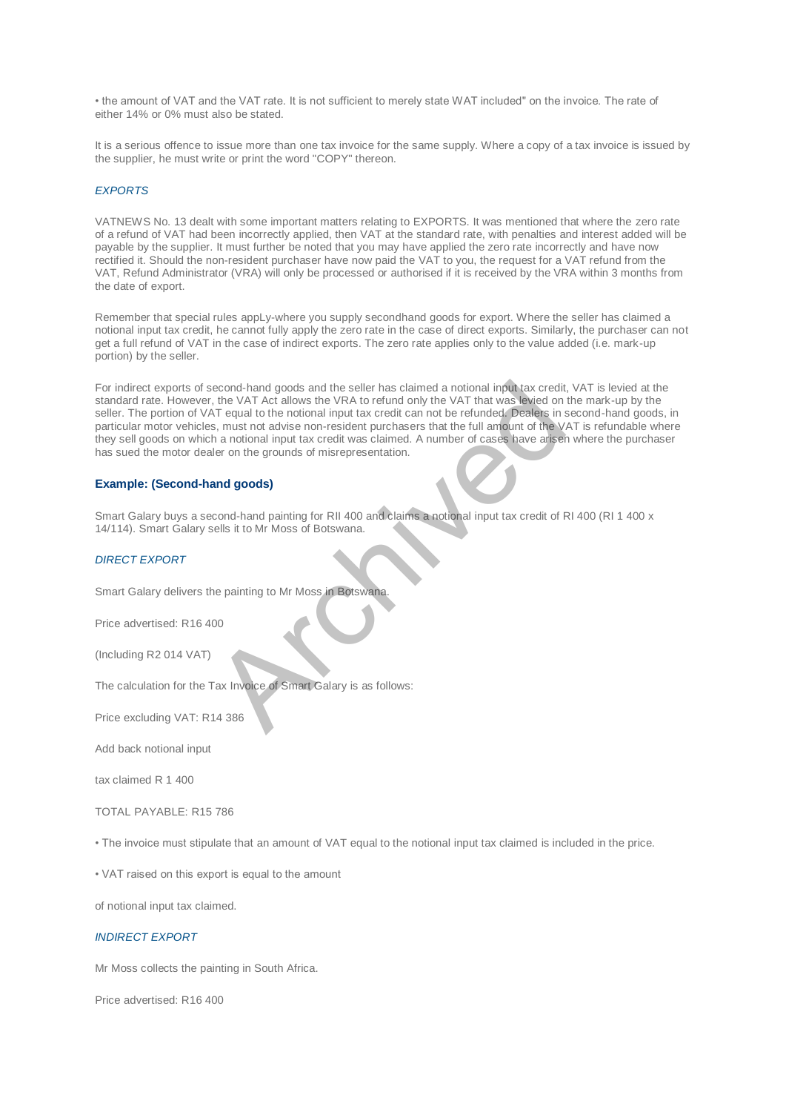• the amount of VAT and the VAT rate. It is not sufficient to merely state WAT included" on the invoice. The rate of either 14% or 0% must also be stated.

It is a serious offence to issue more than one tax invoice for the same supply. Where a copy of a tax invoice is issued by the supplier, he must write or print the word "COPY" thereon.

### *EXPORTS*

VATNEWS No. 13 dealt with some important matters relating to EXPORTS. It was mentioned that where the zero rate of a refund of VAT had been incorrectly applied, then VAT at the standard rate, with penalties and interest added will be payable by the supplier. It must further be noted that you may have applied the zero rate incorrectly and have now rectified it. Should the non-resident purchaser have now paid the VAT to you, the request for a VAT refund from the VAT, Refund Administrator (VRA) will only be processed or authorised if it is received by the VRA within 3 months from the date of export.

Remember that special rules appLy-where you supply secondhand goods for export. Where the seller has claimed a notional input tax credit, he cannot fully apply the zero rate in the case of direct exports. Similarly, the purchaser can not get a full refund of VAT in the case of indirect exports. The zero rate applies only to the value added (i.e. mark-up portion) by the seller.

For indirect exports of second-hand goods and the seller has claimed a notional input tax credit, VAT is levied at the standard rate. However, the VAT Act allows the VRA to refund only the VAT that was levied on the mark-up by the seller. The portion of VAT equal to the notional input tax credit can not be refunded. Dealers in second-hand goods, in particular motor vehicles, must not advise non-resident purchasers that the full amount of the VAT is refundable where they sell goods on which a notional input tax credit was claimed. A number of cases have arisen where the purchaser has sued the motor dealer on the grounds of misrepresentation. econd-hand goods and the seller has claimed a notional input tax credit.<br>
t, the VAT Act allows the VRA to refund only the VAT that was levided on<br>
AT equal to the notional input tax credit can not be refunded. Dealers in<br>

### **Example: (Second-hand goods)**

Smart Galary buys a second-hand painting for RII 400 and claims a notional input tax credit of RI 400 (RI 1 400 x 14/114). Smart Galary sells it to Mr Moss of Botswana.

## *DIRECT EXPORT*

Smart Galary delivers the painting to Mr Moss in Botswana.

Price advertised: R16 400

(Including R2 014 VAT)

The calculation for the Tax Invoice of Smart Galary is as follows:

Price excluding VAT: R14 386

Add back notional input

tax claimed R 1 400

TOTAL PAYABLE: R15 786

• The invoice must stipulate that an amount of VAT equal to the notional input tax claimed is included in the price.

• VAT raised on this export is equal to the amount

of notional input tax claimed.

### *INDIRECT EXPORT*

Mr Moss collects the painting in South Africa.

Price advertised: R16 400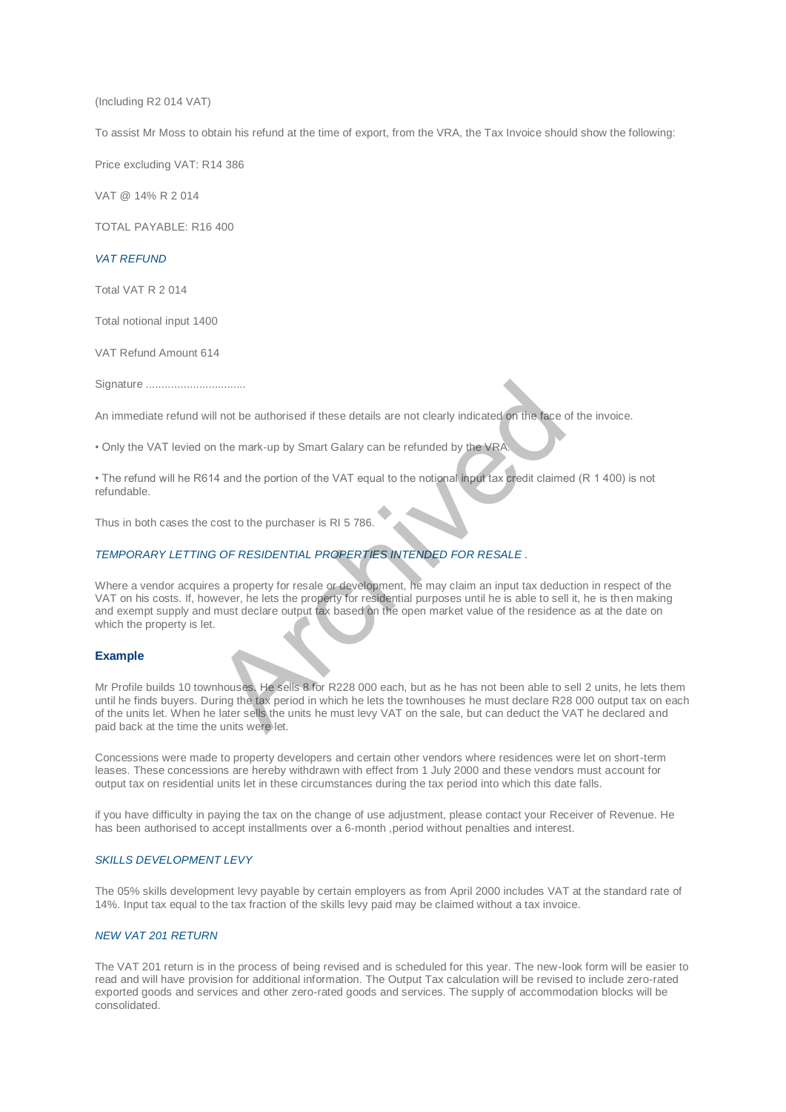(Including R2 014 VAT)

To assist Mr Moss to obtain his refund at the time of export, from the VRA, the Tax Invoice should show the following:

Price excluding VAT: R14 386

VAT @ 14% R 2 014

TOTAL PAYABLE: R16 400

#### *VAT REFUND*

Total VAT R 2 014

Total notional input 1400

VAT Refund Amount 614

Signature ................................

An immediate refund will not be authorised if these details are not clearly indicated on the face of the invoice.

• Only the VAT levied on the mark-up by Smart Galary can be refunded by the VRA.

• The refund will he R614 and the portion of the VAT equal to the notional input tax credit claimed (R 1 400) is not refundable.

Thus in both cases the cost to the purchaser is RI 5 786.

### *TEMPORARY LETTING OF RESIDENTIAL PROPERTIES INTENDED FOR RESALE .*

Where a vendor acquires a property for resale or development, he may claim an input tax deduction in respect of the VAT on his costs. If, however, he lets the property for residential purposes until he is able to sell it, he is then making and exempt supply and must declare output tax based on the open market value of the residence as at the date on which the property is let. The matter of the seatenth of the seatenth of the seatenth of the seatenth of the seatenth of the the seatenth of the VAT equal to the notional imput tax credit claime<br>
14 and the portion of the VAT equal to the notional i

### **Example**

Mr Profile builds 10 townhouses. He sells 8 for R228 000 each, but as he has not been able to sell 2 units, he lets them until he finds buyers. During the tax period in which he lets the townhouses he must declare R28 000 output tax on each of the units let. When he later sells the units he must levy VAT on the sale, but can deduct the VAT he declared and paid back at the time the units were let.

Concessions were made to property developers and certain other vendors where residences were let on short-term leases. These concessions are hereby withdrawn with effect from 1 July 2000 and these vendors must account for output tax on residential units let in these circumstances during the tax period into which this date falls.

if you have difficulty in paying the tax on the change of use adjustment, please contact your Receiver of Revenue. He has been authorised to accept installments over a 6-month , period without penalties and interest.

## *SKILLS DEVELOPMENT LEVY*

The 05% skills development levy payable by certain employers as from April 2000 includes VAT at the standard rate of 14%. Input tax equal to the tax fraction of the skills levy paid may be claimed without a tax invoice.

## *NEW VAT 201 RETURN*

The VAT 201 return is in the process of being revised and is scheduled for this year. The new-look form will be easier to read and will have provision for additional information. The Output Tax calculation will be revised to include zero-rated exported goods and services and other zero-rated goods and services. The supply of accommodation blocks will be consolidated.